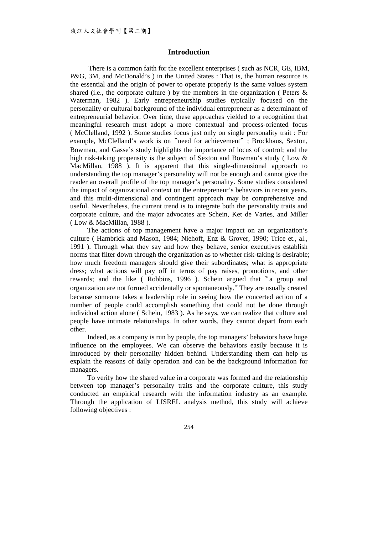# **Introduction**

There is a common faith for the excellent enterprises ( such as NCR, GE, IBM, P&G, 3M, and McDonald's ) in the United States : That is, the human resource is the essential and the origin of power to operate properly is the same values system shared (i.e., the corporate culture ) by the members in the organization ( Peters  $\&$ Waterman, 1982 ). Early entrepreneurship studies typically focused on the personality or cultural background of the individual entrepreneur as a determinant of entrepreneurial behavior. Over time, these approaches yielded to a recognition that meaningful research must adopt a more contextual and process-oriented focus ( McClelland, 1992 ). Some studies focus just only on single personality trait : For example, McClelland's work is on〝need for achievement〞; Brockhaus, Sexton, Bowman, and Gasse's study highlights the importance of locus of control; and the high risk-taking propensity is the subject of Sexton and Bowman's study (Low & MacMillan, 1988 ). It is apparent that this single-dimensional approach to understanding the top manager's personality will not be enough and cannot give the reader an overall profile of the top manager's personality. Some studies considered the impact of organizational context on the entrepreneur's behaviors in recent years, and this multi-dimensional and contingent approach may be comprehensive and useful. Nevertheless, the current trend is to integrate both the personality traits and corporate culture, and the major advocates are Schein, Ket de Varies, and Miller ( Low & MacMillan, 1988 ).

The actions of top management have a major impact on an organization's culture ( Hambrick and Mason, 1984; Niehoff, Enz & Grover, 1990; Trice et., al., 1991 ). Through what they say and how they behave, senior executives establish norms that filter down through the organization as to whether risk-taking is desirable; how much freedom managers should give their subordinates; what is appropriate dress; what actions will pay off in terms of pay raises, promotions, and other rewards; and the like ( Robbins, 1996 ). Schein argued that sa group and organization are not formed accidentally or spontaneously.〞They are usually created because someone takes a leadership role in seeing how the concerted action of a number of people could accomplish something that could not be done through individual action alone ( Schein, 1983 ). As he says, we can realize that culture and people have intimate relationships. In other words, they cannot depart from each other.

Indeed, as a company is run by people, the top managers' behaviors have huge influence on the employees. We can observe the behaviors easily because it is introduced by their personality hidden behind. Understanding them can help us explain the reasons of daily operation and can be the background information for managers.

To verify how the shared value in a corporate was formed and the relationship between top manager's personality traits and the corporate culture, this study conducted an empirical research with the information industry as an example. Through the application of LISREL analysis method, this study will achieve following objectives :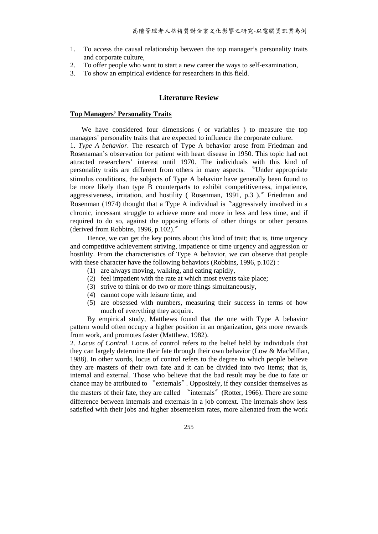- 1. To access the causal relationship between the top manager's personality traits and corporate culture,
- 2. To offer people who want to start a new career the ways to self-examination,
- 3. To show an empirical evidence for researchers in this field.

# **Literature Review**

## **Top Managers' Personality Traits**

We have considered four dimensions ( or variables ) to measure the top managers' personality traits that are expected to influence the corporate culture. 1. *Type A behavior*. The research of Type A behavior arose from Friedman and Rosenaman's observation for patient with heart disease in 1950. This topic had not attracted researchers' interest until 1970. The individuals with this kind of personality traits are different from others in many aspects. 〝Under appropriate stimulus conditions, the subjects of Type A behavior have generally been found to be more likely than type B counterparts to exhibit competitiveness, impatience, aggressiveness, irritation, and hostility ( Rosenman, 1991, p.3 ).〞Friedman and Rosenman (1974) thought that a Type A individual is "aggressively involved in a chronic, incessant struggle to achieve more and more in less and less time, and if required to do so, against the opposing efforts of other things or other persons (derived from Robbins, 1996, p.102).〞

Hence, we can get the key points about this kind of trait; that is, time urgency and competitive achievement striving, impatience or time urgency and aggression or hostility. From the characteristics of Type A behavior, we can observe that people with these character have the following behaviors (Robbins, 1996, p.102):

- (1) are always moving, walking, and eating rapidly,
- (2) feel impatient with the rate at which most events take place;
- (3) strive to think or do two or more things simultaneously,
- (4) cannot cope with leisure time, and
- (5) are obsessed with numbers, measuring their success in terms of how much of everything they acquire.

By empirical study, Matthews found that the one with Type A behavior pattern would often occupy a higher position in an organization, gets more rewards from work, and promotes faster (Matthew, 1982).

2. *Locus of Control*. Locus of control refers to the belief held by individuals that they can largely determine their fate through their own behavior (Low & MacMillan, 1988). In other words, locus of control refers to the degree to which people believe they are masters of their own fate and it can be divided into two items; that is, internal and external. Those who believe that the bad result may be due to fate or chance may be attributed to 〝externals〞. Oppositely, if they consider themselves as the masters of their fate, they are called 〝internals〞(Rotter, 1966). There are some difference between internals and externals in a job context. The internals show less satisfied with their jobs and higher absenteeism rates, more alienated from the work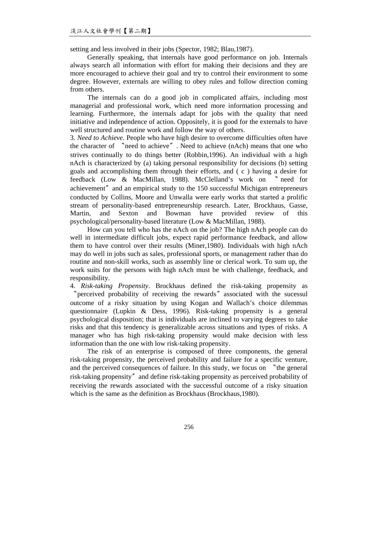setting and less involved in their jobs (Spector, 1982; Blau,1987).

Generally speaking, that internals have good performance on job. Internals always search all information with effort for making their decisions and they are more encouraged to achieve their goal and try to control their environment to some degree. However, externals are willing to obey rules and follow direction coming from others.

The internals can do a good job in complicated affairs, including most managerial and professional work, which need more information processing and learning. Furthermore, the internals adapt for jobs with the quality that need initiative and independence of action. Oppositely, it is good for the externals to have well structured and routine work and follow the way of others.

3. *Need to Achieve*. People who have high desire to overcome difficulties often have the character of 〝need to achieve〞. Need to achieve (nAch) means that one who strives continually to do things better (Robbin,1996). An individual with a high nAch is characterized by (a) taking personal responsibility for decisions (b) setting goals and accomplishing them through their efforts, and ( c ) having a desire for feedback (Low & MacMillan, 1988). McClelland's work on 〝 need for achievement〞and an empirical study to the 150 successful Michigan entrepreneurs conducted by Collins, Moore and Unwalla were early works that started a prolific stream of personality-based entrepreneurship research. Later, Brockhaus, Gasse, Martin, and Sexton and Bowman have provided review of this psychological/personality-based literature (Low & MacMillan, 1988).

How can you tell who has the nAch on the job? The high nAch people can do well in intermediate difficult jobs, expect rapid performance feedback, and allow them to have control over their results (Miner,1980). Individuals with high nAch may do well in jobs such as sales, professional sports, or management rather than do routine and non-skill works, such as assembly line or clerical work. To sum up, the work suits for the persons with high nAch must be with challenge, feedback, and responsibility.

4. *Risk-taking Propensity*. Brockhaus defined the risk-taking propensity as 〝perceived probability of receiving the rewards〞associated with the sucessul outcome of a risky situation by using Kogan and Wallach's choice dilemmas questionnaire (Lupkin & Dess, 1996). Risk-taking propensity is a general psychological disposition; that is individuals are inclined to varying degrees to take risks and that this tendency is generalizable across situations and types of risks. A manager who has high risk-taking propensity would make decision with less information than the one with low risk-taking propensity.

The risk of an enterprise is composed of three components, the general risk-taking propensity, the perceived probability and failure for a specific venture, and the perceived consequences of failure. In this study, we focus on 
<sup>h</sup>the general risk-taking propensity〞and define risk-taking propensity as perceived probability of receiving the rewards associated with the successful outcome of a risky situation which is the same as the definition as Brockhaus (Brockhaus,1980).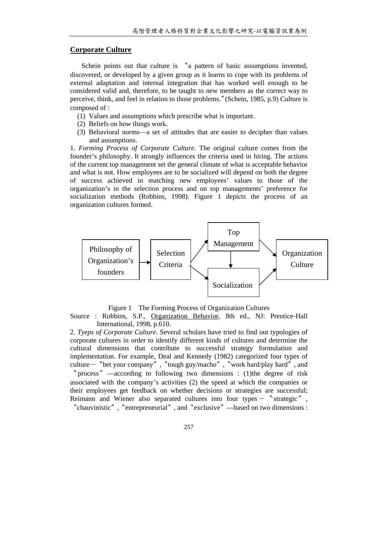# **Corporate Culture**

Schein points out that culture is 〝a pattern of basic assumptions invented, discovered, or developed by a given group as it learns to cope with its problems of external adaptation and internal integration that has worked well enough to be considered valid and, therefore, to be taught to new members as the correct way to perceive, think, and feel in relation to those problems.〞(Schein, 1985, p.9) Culture is composed of :

- (1) Values and assumptions which prescribe what is important.
- (2) Beliefs on how things work.
- (3) Behavioral norms—a set of attitudes that are easier to decipher than values and assumptions.

1. *Forming Process of Corporate Culture*. The original culture comes from the founder's philosophy. It strongly influences the criteria used in hiring. The actions of the current top management set the general climate of what is acceptable behavior and what is not. How employees are to be socialized will depend on both the degree of success achieved in matching new employees' values to those of the organization's in the selection process and on top managements' preference for socialization methods (Robbins, 1998). Figure 1 depicts the process of an organization cultures formed.



Figure 1 The Forming Process of Organization Cultures

Source : Robbins, S.P., Organization Behavior, 8th ed., NJ: Prentice-Hall International, 1998, p.610.

2. *Tyeps of Corporate Culture*. Several scholars have tried to find out typologies of corporate cultures in order to identify different kinds of cultures and determine the cultural dimensions that contribute to successful strategy formulation and implementation. For example, Deal and Kennedy (1982) categorized four types of culture-〝bet your company〞,〝tough guy/macho〞,〝work hard/play hard〞, and 〝process〞—according to following two dimensions : (1)the degree of risk associated with the company's activities (2) the speed at which the companies or their employees get feedback on whether decisions or strategies are successful; Reimann and Wiener also separated cultures into four types  $-$  "strategic", 〝chauvinistic〞,〝entrepreneurial〞, and〝exclusive〞—based on two dimensions :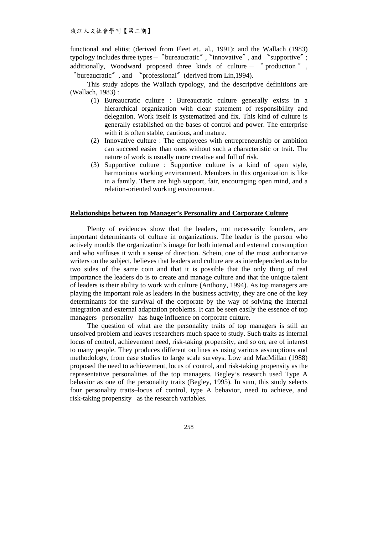functional and elitist (derived from Fleet et., al., 1991); and the Wallach (1983) typology includes three types- 〝bureaucratic〞, 〝innovative〞, and 〝supportive〞; additionally, Woodward proposed three kinds of culture  $\degree$  production  $\degree$  , 〝bureaucratic〞, and 〝professional〞(derived from Lin,1994).

This study adopts the Wallach typology, and the descriptive definitions are (Wallach, 1983) :

- (1) Bureaucratic culture : Bureaucratic culture generally exists in a hierarchical organization with clear statement of responsibility and delegation. Work itself is systematized and fix. This kind of culture is generally established on the bases of control and power. The enterprise with it is often stable, cautious, and mature.
- (2) Innovative culture : The employees with entrepreneurship or ambition can succeed easier than ones without such a characteristic or trait. The nature of work is usually more creative and full of risk.
- (3) Supportive culture : Supportive culture is a kind of open style, harmonious working environment. Members in this organization is like in a family. There are high support, fair, encouraging open mind, and a relation-oriented working environment.

# **Relationships between top Manager's Personality and Corporate Culture**

Plenty of evidences show that the leaders, not necessarily founders, are important determinants of culture in organizations. The leader is the person who actively moulds the organization's image for both internal and external consumption and who suffuses it with a sense of direction. Schein, one of the most authoritative writers on the subject, believes that leaders and culture are as interdependent as to be two sides of the same coin and that it is possible that the only thing of real importance the leaders do is to create and manage culture and that the unique talent of leaders is their ability to work with culture (Anthony, 1994). As top managers are playing the important role as leaders in the business activity, they are one of the key determinants for the survival of the corporate by the way of solving the internal integration and external adaptation problems. It can be seen easily the essence of top managers –personality– has huge influence on corporate culture.

The question of what are the personality traits of top managers is still an unsolved problem and leaves researchers much space to study. Such traits as internal locus of control, achievement need, risk-taking propensity, and so on, are of interest to many people. They produces different outlines as using various assumptions and methodology, from case studies to large scale surveys. Low and MacMillan (1988) proposed the need to achievement, locus of control, and risk-taking propensity as the representative personalities of the top managers. Begley's research used Type A behavior as one of the personality traits (Begley, 1995). In sum, this study selects four personality traits–locus of control, type A behavior, need to achieve, and risk-taking propensity –as the research variables.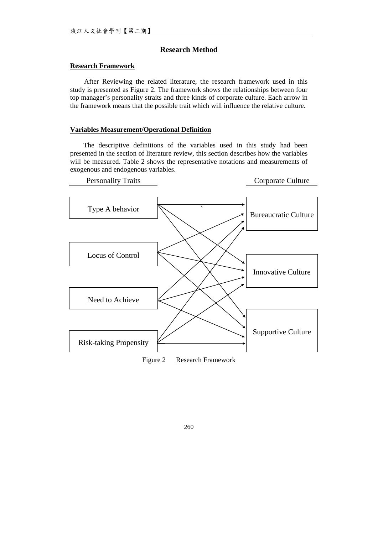# **Research Method**

# **Research Framework**

After Reviewing the related literature, the research framework used in this study is presented as Figure 2. The framework shows the relationships between four top manager's personality straits and three kinds of corporate culture. Each arrow in the framework means that the possible trait which will influence the relative culture.

## **Variables Measurement/Operational Definition**

The descriptive definitions of the variables used in this study had been presented in the section of literature review, this section describes how the variables will be measured. Table 2 shows the representative notations and measurements of exogenous and endogenous variables.



Figure 2 Research Framework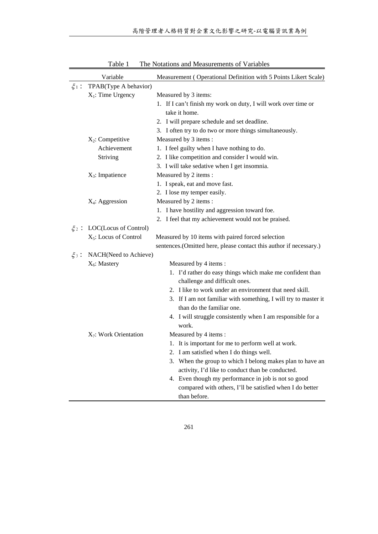|           | Variable                    | Measurement (Operational Definition with 5 Points Likert Scale)                                |  |  |
|-----------|-----------------------------|------------------------------------------------------------------------------------------------|--|--|
| $\xi_1$ : | TPAB(Type A behavior)       |                                                                                                |  |  |
|           | $X_1$ : Time Urgency        | Measured by 3 items:                                                                           |  |  |
|           |                             | 1. If I can't finish my work on duty, I will work over time or                                 |  |  |
|           |                             | take it home.                                                                                  |  |  |
|           |                             | 2. I will prepare schedule and set deadline.                                                   |  |  |
|           |                             | 3. I often try to do two or more things simultaneously.                                        |  |  |
|           | $X_2$ : Competitive         | Measured by 3 items :                                                                          |  |  |
|           | Achievement                 | 1. I feel guilty when I have nothing to do.<br>2. I like competition and consider I would win. |  |  |
|           | Striving                    |                                                                                                |  |  |
|           |                             | 3. I will take sedative when I get insomnia.                                                   |  |  |
|           | $X_3$ : Impatience          | Measured by 2 items :<br>1. I speak, eat and move fast.                                        |  |  |
|           |                             |                                                                                                |  |  |
|           |                             | 2. I lose my temper easily.                                                                    |  |  |
|           | X <sub>4</sub> : Aggression | Measured by 2 items :<br>1. I have hostility and aggression toward foe.                        |  |  |
|           |                             |                                                                                                |  |  |
|           |                             | 2. I feel that my achievement would not be praised.                                            |  |  |
| $\xi_2$ : | LOC(Locus of Control)       |                                                                                                |  |  |
|           | $X_5$ : Locus of Control    | Measured by 10 items with paired forced selection                                              |  |  |
|           |                             | sentences.(Omitted here, please contact this author if necessary.)                             |  |  |
| $\xi_3$ : | NACH(Need to Achieve)       |                                                                                                |  |  |
|           | $X_6$ : Mastery             | Measured by 4 items:                                                                           |  |  |
|           |                             | 1. I'd rather do easy things which make me confident than                                      |  |  |
|           |                             | challenge and difficult ones.                                                                  |  |  |
|           |                             | 2. I like to work under an environment that need skill.                                        |  |  |
|           |                             | 3. If I am not familiar with something, I will try to master it                                |  |  |
|           |                             | than do the familiar one.                                                                      |  |  |
|           |                             | 4. I will struggle consistently when I am responsible for a                                    |  |  |
|           |                             | work.                                                                                          |  |  |
|           | $X_7$ : Work Orientation    | Measured by 4 items:                                                                           |  |  |
|           |                             | 1. It is important for me to perform well at work.                                             |  |  |
|           |                             | 2. I am satisfied when I do things well.                                                       |  |  |
|           |                             | 3. When the group to which I belong makes plan to have an                                      |  |  |
|           |                             | activity, I'd like to conduct than be conducted.                                               |  |  |
|           |                             | 4. Even though my performance in job is not so good                                            |  |  |
|           |                             | compared with others, I'll be satisfied when I do better                                       |  |  |
|           |                             | than before.                                                                                   |  |  |

Table 1 The Notations and Measurements of Variables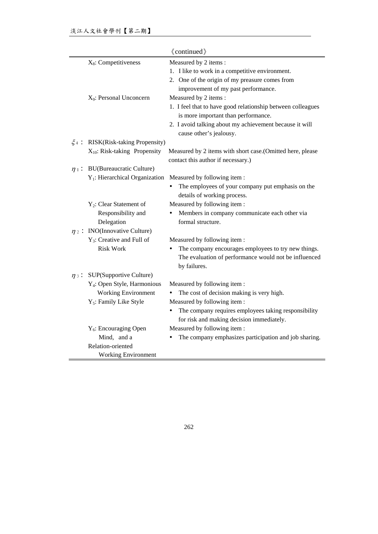|            | «continued»                                      |                                                                                                                |  |  |  |  |
|------------|--------------------------------------------------|----------------------------------------------------------------------------------------------------------------|--|--|--|--|
|            | $X_8$ : Competitiveness<br>Measured by 2 items : |                                                                                                                |  |  |  |  |
|            |                                                  | 1. I like to work in a competitive environment.                                                                |  |  |  |  |
|            |                                                  | 2. One of the origin of my preasure comes from                                                                 |  |  |  |  |
|            |                                                  | improvement of my past performance.                                                                            |  |  |  |  |
|            | X <sub>9</sub> : Personal Unconcern              | Measured by 2 items :                                                                                          |  |  |  |  |
|            |                                                  | 1. I feel that to have good relationship between colleagues<br>is more important than performance.             |  |  |  |  |
|            |                                                  | 2. I avoid talking about my achievement because it will<br>cause other's jealousy.                             |  |  |  |  |
| $\xi_4$ :  | RISK(Risk-taking Propensity)                     |                                                                                                                |  |  |  |  |
|            | $X_{10}$ : Risk-taking Propensity                | Measured by 2 items with short case. (Omitted here, please<br>contact this author if necessary.)               |  |  |  |  |
| $\eta$ :   | <b>BU(Bureaucratic Culture)</b>                  |                                                                                                                |  |  |  |  |
|            | $Y_1$ : Hierarchical Organization                | Measured by following item:                                                                                    |  |  |  |  |
|            |                                                  | The employees of your company put emphasis on the<br>details of working process.                               |  |  |  |  |
|            | Y <sub>2</sub> : Clear Statement of              | Measured by following item:                                                                                    |  |  |  |  |
|            | Responsibility and<br>Delegation                 | Members in company communicate each other via<br>formal structure.                                             |  |  |  |  |
| $\eta_2$ : | <b>INO</b> (Innovative Culture)                  |                                                                                                                |  |  |  |  |
|            | $Y_3$ : Creative and Full of                     | Measured by following item:                                                                                    |  |  |  |  |
|            | <b>Risk Work</b>                                 | The company encourages employees to try new things.                                                            |  |  |  |  |
|            |                                                  | The evaluation of performance would not be influenced<br>by failures.                                          |  |  |  |  |
| $\eta$ 3:  | SUP(Supportive Culture)                          |                                                                                                                |  |  |  |  |
|            | Y <sub>4</sub> : Open Style, Harmonious          | Measured by following item:                                                                                    |  |  |  |  |
|            | <b>Working Environment</b>                       | The cost of decision making is very high.                                                                      |  |  |  |  |
|            | Y <sub>5</sub> : Family Like Style               | Measured by following item:                                                                                    |  |  |  |  |
|            |                                                  | The company requires employees taking responsibility<br>$\bullet$<br>for risk and making decision immediately. |  |  |  |  |
|            | $Y_6$ : Encouraging Open                         | Measured by following item:                                                                                    |  |  |  |  |
|            | Mind, and a                                      | The company emphasizes participation and job sharing.                                                          |  |  |  |  |
|            | Relation-oriented                                |                                                                                                                |  |  |  |  |
|            | <b>Working Environment</b>                       |                                                                                                                |  |  |  |  |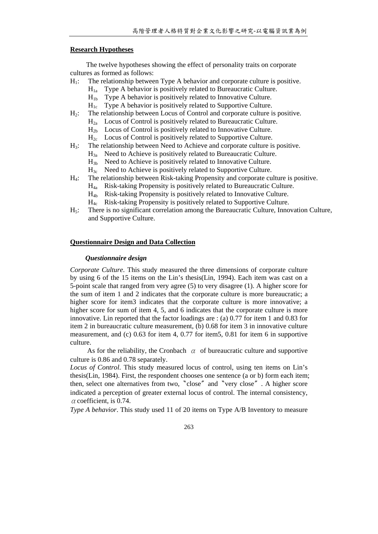#### **Research Hypotheses**

The twelve hypotheses showing the effect of personality traits on corporate cultures as formed as follows:

- $H_1$ : The relationship between Type A behavior and corporate culture is positive.
	- $H_{1a}$  Type A behavior is positively related to Bureaucratic Culture.
	- $H_{1b}$  Type A behavior is positively related to Innovative Culture.
	- $H_{1c}$  Type A behavior is positively related to Supportive Culture.
- $H<sub>2</sub>$ : The relationship between Locus of Control and corporate culture is positive.
	- $H<sub>2a</sub>$  Locus of Control is positively related to Bureaucratic Culture.
	- $H_{2b}$  Locus of Control is positively related to Innovative Culture.
	- $H_{2c}$  Locus of Control is positively related to Supportive Culture.
- H3: The relationship between Need to Achieve and corporate culture is positive.
	- $H_{3a}$  Need to Achieve is positively related to Bureaucratic Culture.
	- $H_{3b}$  Need to Achieve is positively related to Innovative Culture.
	- $H_{3c}$  Need to Achieve is positively related to Supportive Culture.
- H4: The relationship between Risk-taking Propensity and corporate culture is positive.
	- $H_{4a}$  Risk-taking Propensity is positively related to Bureaucratic Culture.
	- H4b Risk-taking Propensity is positively related to Innovative Culture.
	- $H_{4c}$  Risk-taking Propensity is positively related to Supportive Culture.
- H5: There is no significant correlation among the Bureaucratic Culture, Innovation Culture, and Supportive Culture.

#### **Questionnaire Design and Data Collection**

#### *Questionnaire design*

*Corporate Culture*. This study measured the three dimensions of corporate culture by using 6 of the 15 items on the Lin's thesis(Lin, 1994). Each item was cast on a 5-point scale that ranged from very agree (5) to very disagree (1). A higher score for the sum of item 1 and 2 indicates that the corporate culture is more bureaucratic; a higher score for item3 indicates that the corporate culture is more innovative; a higher score for sum of item 4, 5, and 6 indicates that the corporate culture is more innovative. Lin reported that the factor loadings are  $:(a)$  0.77 for item 1 and 0.83 for item 2 in bureaucratic culture measurement, (b) 0.68 for item 3 in innovative culture measurement, and (c) 0.63 for item 4, 0.77 for item5, 0.81 for item 6 in supportive culture.

As for the reliability, the Cronbach  $\alpha$  of bureaucratic culture and supportive culture is 0.86 and 0.78 separately.

*Locus of Control*. This study measured locus of control, using ten items on Lin's thesis(Lin, 1984). First, the respondent chooses one sentence (a or b) form each item; then, select one alternatives from two, "close" and "very close". A higher score indicated a perception of greater external locus of control. The internal consistency,  $\alpha$  coefficient, is 0.74.

*Type A behavior*. This study used 11 of 20 items on Type A/B Inventory to measure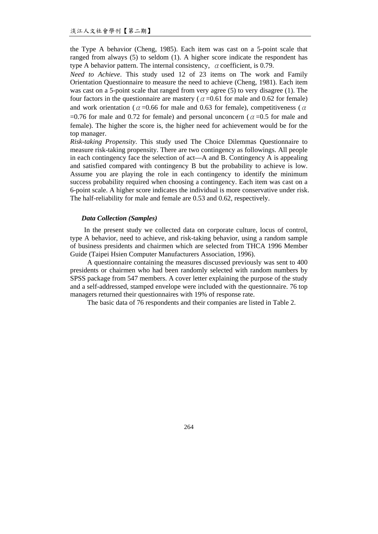the Type A behavior (Cheng, 1985). Each item was cast on a 5-point scale that ranged from always (5) to seldom (1). A higher score indicate the respondent has type A behavior pattern. The internal consistency,  $\alpha$  coefficient, is 0.79.

*Need to Achieve*. This study used 12 of 23 items on The work and Family Orientation Questionnaire to measure the need to achieve (Cheng, 1981). Each item was cast on a 5-point scale that ranged from very agree (5) to very disagree (1). The four factors in the questionnaire are mastery ( $\alpha$  =0.61 for male and 0.62 for female) and work orientation ( $\alpha$ =0.66 for male and 0.63 for female), competitiveness ( $\alpha$ =0.76 for male and 0.72 for female) and personal unconcern ( $\alpha$ =0.5 for male and female). The higher the score is, the higher need for achievement would be for the top manager.

*Risk-taking Propensity*. This study used The Choice Dilemmas Questionnaire to measure risk-taking propensity. There are two contingency as followings. All people in each contingency face the selection of act—A and B. Contingency A is appealing and satisfied compared with contingency B but the probability to achieve is low. Assume you are playing the role in each contingency to identify the minimum success probability required when choosing a contingency. Each item was cast on a 6-point scale. A higher score indicates the individual is more conservative under risk. The half-reliability for male and female are 0.53 and 0.62, respectively.

# *Data Collection (Samples)*

In the present study we collected data on corporate culture, locus of control, type A behavior, need to achieve, and risk-taking behavior, using a random sample of business presidents and chairmen which are selected from THCA 1996 Member Guide (Taipei Hsien Computer Manufacturers Association, 1996).

A questionnaire containing the measures discussed previously was sent to 400 presidents or chairmen who had been randomly selected with random numbers by SPSS package from 547 members. A cover letter explaining the purpose of the study and a self-addressed, stamped envelope were included with the questionnaire. 76 top managers returned their questionnaires with 19% of response rate.

The basic data of 76 respondents and their companies are listed in Table 2.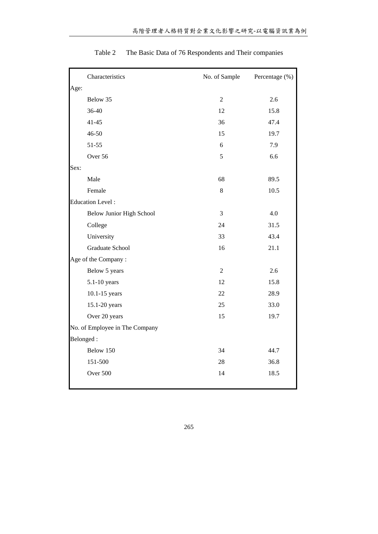| Characteristics                | No. of Sample  | Percentage (%) |
|--------------------------------|----------------|----------------|
| Age:                           |                |                |
| Below 35                       | $\sqrt{2}$     | 2.6            |
| 36-40                          | 12             | 15.8           |
| $41 - 45$                      | 36             | 47.4           |
| 46-50                          | 15             | 19.7           |
| $51 - 55$                      | 6              | 7.9            |
| Over 56                        | 5              | 6.6            |
| Sex:                           |                |                |
| Male                           | 68             | 89.5           |
| Female                         | 8              | 10.5           |
| <b>Education Level:</b>        |                |                |
| Below Junior High School       | 3              | 4.0            |
| College                        | 24             | 31.5           |
| University                     | 33             | 43.4           |
| Graduate School                | 16             | 21.1           |
| Age of the Company:            |                |                |
| Below 5 years                  | $\overline{2}$ | 2.6            |
| $5.1 - 10$ years               | 12             | 15.8           |
| 10.1-15 years                  | 22             | 28.9           |
| 15.1-20 years                  | 25             | 33.0           |
| Over 20 years                  | 15             | 19.7           |
| No. of Employee in The Company |                |                |
| Belonged:                      |                |                |
| Below 150                      | 34             | 44.7           |
| 151-500                        | 28             | 36.8           |
| Over 500                       | 14             | 18.5           |
|                                |                |                |

Table 2 The Basic Data of 76 Respondents and Their companies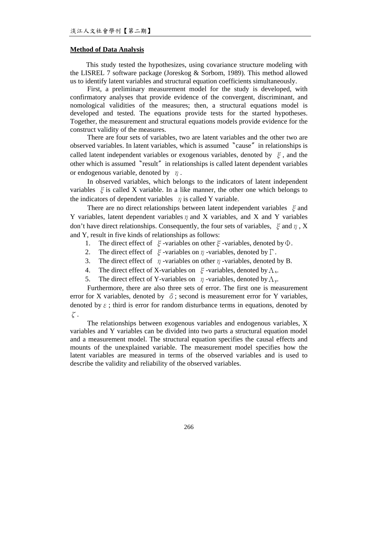#### **Method of Data Analysis**

This study tested the hypothesizes, using covariance structure modeling with the LISREL 7 software package (Joreskog & Sorbom, 1989). This method allowed us to identify latent variables and structural equation coefficients simultaneously.

First, a preliminary measurement model for the study is developed, with confirmatory analyses that provide evidence of the convergent, discriminant, and nomological validities of the measures; then, a structural equations model is developed and tested. The equations provide tests for the started hypotheses. Together, the measurement and structural equations models provide evidence for the construct validity of the measures.

There are four sets of variables, two are latent variables and the other two are observed variables. In latent variables, which is assumed〝cause〞in relationships is called latent independent variables or exogenous variables, denoted by  $\xi$ , and the other which is assumed〝result〞in relationships is called latent dependent variables or endogenous variable, denoted by  $\eta$ .

In observed variables, which belongs to the indicators of latent independent variables  $\xi$  is called X variable. In a like manner, the other one which belongs to the indicators of dependent variables  $\eta$  is called Y variable.

There are no direct relationships between latent independent variables  $\xi$  and Y variables, latent dependent variables  $\eta$  and X variables, and X and Y variables don't have direct relationships. Consequently, the four sets of variables,  $\xi$  and  $\eta$ , X and Y, result in five kinds of relationships as follows:

- 1. The direct effect of  $\xi$ -variables on other  $\xi$ -variables, denoted by  $\Phi$ .
- 2. The direct effect of  $\xi$ -variables on  $\eta$ -variables, denoted by  $\Gamma$ .
- 3. The direct effect of  $\eta$ -variables on other  $\eta$ -variables, denoted by B.
- 4. The direct effect of X-variables on  $\xi$ -variables, denoted by  $\Lambda_{\rm x}$ .
- 5. The direct effect of Y-variables on  $\eta$ -variables, denoted by  $\Lambda_{\nu}$ .

Furthermore, there are also three sets of error. The first one is measurement error for X variables, denoted by  $\delta$ ; second is measurement error for Y variables, denoted by  $\varepsilon$ ; third is error for random disturbance terms in equations, denoted by ζ.

The relationships between exogenous variables and endogenous variables, X variables and Y variables can be divided into two parts a structural equation model and a measurement model. The structural equation specifies the causal effects and mounts of the unexplained variable. The measurement model specifies how the latent variables are measured in terms of the observed variables and is used to describe the validity and reliability of the observed variables.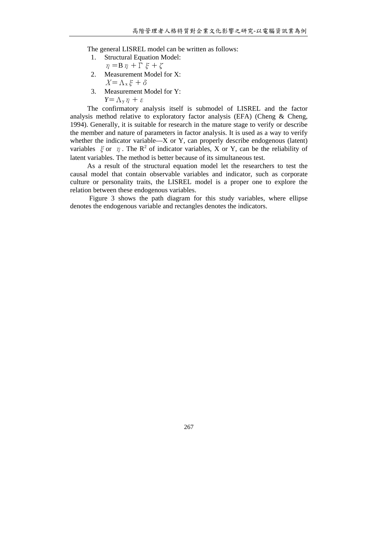The general LISREL model can be written as follows:

1. Structural Equation Model:

$$
\eta = B \eta + \Gamma \xi + \zeta
$$

- 2. Measurement Model for X:  $X = \Lambda_{\mathbf{x}} \xi + \delta$
- 3. Measurement Model for Y:

$$
Y = \Lambda_{y} \eta + \varepsilon
$$

The confirmatory analysis itself is submodel of LISREL and the factor analysis method relative to exploratory factor analysis (EFA) (Cheng & Cheng, 1994). Generally, it is suitable for research in the mature stage to verify or describe the member and nature of parameters in factor analysis. It is used as a way to verify whether the indicator variable—X or Y, can properly describe endogenous (latent) variables  $\xi$  or  $\eta$ . The R<sup>2</sup> of indicator variables, X or Y, can be the reliability of latent variables. The method is better because of its simultaneous test.

As a result of the structural equation model let the researchers to test the causal model that contain observable variables and indicator, such as corporate culture or personality traits, the LISREL model is a proper one to explore the relation between these endogenous variables.

Figure 3 shows the path diagram for this study variables, where ellipse denotes the endogenous variable and rectangles denotes the indicators.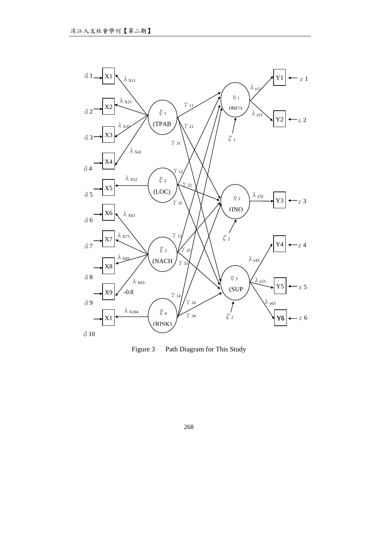

Figure 3 Path Diagram for This Study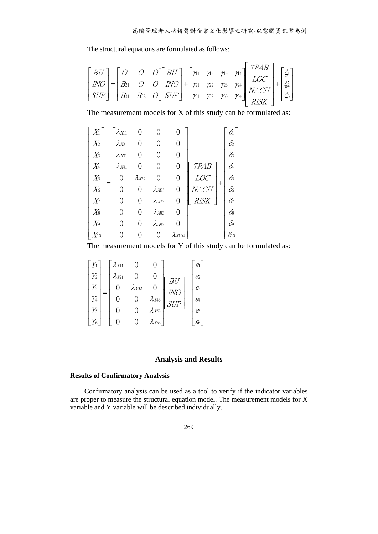The structural equations are formulated as follows:

$$
\begin{bmatrix} BU \\ INO \\ SUP \end{bmatrix} = \begin{bmatrix} O & O & O \\ B_{21} & O & O \\ B_{31} & B_{32} & O \end{bmatrix} \begin{bmatrix} BU \\ INO \\ SUP \end{bmatrix} + \begin{bmatrix} \gamma_{11} & \gamma_{12} & \gamma_{13} & \gamma_{14} \\ \gamma_{21} & \gamma_{22} & \gamma_{23} & \gamma_{24} \\ \gamma_{31} & \gamma_{32} & \gamma_{33} & \gamma_{34} \end{bmatrix} \begin{bmatrix} TPAR \\ LOC \\ NACH \\ RISK \end{bmatrix} + \begin{bmatrix} \zeta_{1} \\ \zeta_{2} \\ \zeta_{3} \end{bmatrix}
$$

The measurement models for X of this study can be formulated as:

$$
\begin{bmatrix}\nX_1 \\
X_2 \\
X_3 \\
X_4 \\
X_5 \\
X_6 \\
X_7 \\
X_8 \\
X_9 \\
X_1\n\end{bmatrix} = \begin{bmatrix}\n\lambda_{X11} & 0 & 0 & 0 \\
\lambda_{X21} & 0 & 0 & 0 \\
\lambda_{X31} & 0 & 0 & 0 \\
\lambda_{X41} & 0 & 0 & 0 \\
0 & \lambda_{X52} & 0 & 0 \\
0 & 0 & \lambda_{X63} & 0 \\
0 & 0 & \lambda_{X73} & 0 \\
\lambda_{Y1} & 0 & 0 & \lambda_{X83} \\
\lambda_{Y2} & 0 & 0 & \lambda_{X73} \\
0 & 0 & \lambda_{X83} & 0 \\
\lambda_{Y3} & 0 & 0 & \lambda_{X104}\n\end{bmatrix} \begin{bmatrix}\n\delta_1 \\
\delta_2 \\
\delta_3 \\
\delta_4 \\
\delta_5 \\
\delta_6 \\
\delta_7 \\
\delta_8 \\
\delta_8 \\
\delta_9 \\
\delta_0\n\end{bmatrix}
$$

The measurement models for Y of this study can be formulated as:

$$
\begin{bmatrix} Y_1 \\ Y_2 \\ Y_3 \\ Y_4 \\ Y_5 \\ Y_6 \end{bmatrix} = \begin{bmatrix} \lambda_{111} & 0 & 0 \\ \lambda_{121} & 0 & 0 \\ 0 & \lambda_{132} & 0 \\ 0 & 0 & \lambda_{143} \\ 0 & 0 & \lambda_{153} \\ 0 & 0 & \lambda_{163} \end{bmatrix} \begin{bmatrix} \varepsilon_1 \\ \varepsilon_2 \\ \varepsilon_3 \\ SUP \end{bmatrix} + \begin{bmatrix} \varepsilon_1 \\ \varepsilon_2 \\ \varepsilon_3 \\ \varepsilon_4 \\ \varepsilon_5 \\ \varepsilon_6 \end{bmatrix}
$$

# **Analysis and Results**

# **Results of Confirmatory Analysis**

Confirmatory analysis can be used as a tool to verify if the indicator variables are proper to measure the structural equation model. The measurement models for X variable and Y variable will be described individually.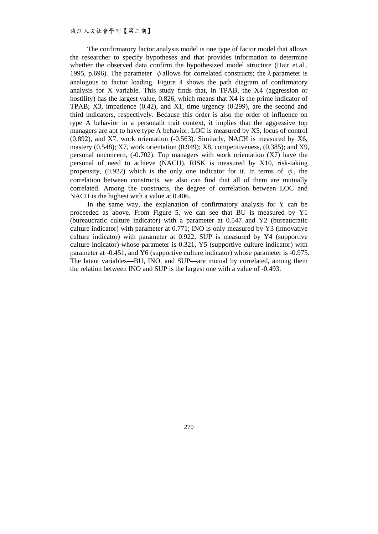The confirmatory factor analysis model is one type of factor model that allows the researcher to specify hypotheses and that provides information to determine whether the observed data confirm the hypothesized model structure (Hair et.al., 1995, p.696). The parameter  $\phi$  allows for correlated constructs; the  $\lambda$  parameter is analogous to factor loading. Figure 4 shows the path diagram of confirmatory analysis for X variable. This study finds that, in TPAB, the X4 (aggression or hostility) has the largest value, 0.826, which means that X4 is the prime indicator of TPAB; X3, impatience (0.42), and X1, time urgency (0.299), are the second and third indicators, respectively. Because this order is also the order of influence on type A behavior in a personalit trait context, it implies that the aggressive top managers are apt to have type A behavior. LOC is measured by X5, locus of control (0.892), and X7, work orientation (-0.563). Similarly, NACH is measured by X6, mastery (0.548); X7, work orientation (0.949); X8, competitiveness, (0.385); and X9, personal unconcern, (-0.702). Top managers with work orientation (X7) have the personal of need to achieve (NACH). RISK is measured by X10, risk-taking propensity, (0.922) which is the only one indicator for it. In terms of  $\phi$ , the correlation between constructs, we also can find that all of them are mutually correlated. Among the constructs, the degree of correlation between LOC and NACH is the highest with a value at 0.406.

In the same way, the explanation of confirmatory analysis for Y can be proceeded as above. From Figure 5, we can see that BU is measured by Y1 (bureaucratic culture indicator) with a parameter at 0.547 and Y2 (bureaucratic culture indicator) with parameter at 0.771; INO is only measured by Y3 (innovative culture indicator) with parameter at 0.922, SUP is measured by Y4 (supportive culture indicator) whose parameter is 0.321, Y5 (supportive culture indicator) with parameter at -0.451, and Y6 (supportive culture indicator) whose parameter is -0.975. The latent variables—BU, INO, and SUP—are mutual by correlated, among them the relation between INO and SUP is the largest one with a value of -0.493.